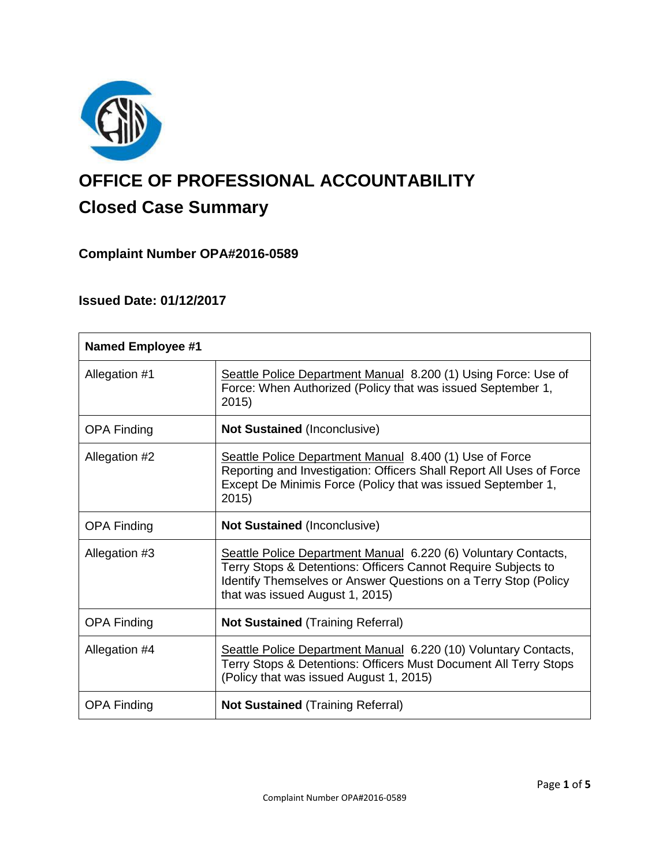

# **OFFICE OF PROFESSIONAL ACCOUNTABILITY Closed Case Summary**

# **Complaint Number OPA#2016-0589**

# **Issued Date: 01/12/2017**

| <b>Named Employee #1</b> |                                                                                                                                                                                                                                       |
|--------------------------|---------------------------------------------------------------------------------------------------------------------------------------------------------------------------------------------------------------------------------------|
| Allegation #1            | Seattle Police Department Manual 8.200 (1) Using Force: Use of<br>Force: When Authorized (Policy that was issued September 1,<br>2015)                                                                                                |
| <b>OPA Finding</b>       | <b>Not Sustained (Inconclusive)</b>                                                                                                                                                                                                   |
| Allegation #2            | Seattle Police Department Manual 8.400 (1) Use of Force<br>Reporting and Investigation: Officers Shall Report All Uses of Force<br>Except De Minimis Force (Policy that was issued September 1,<br>2015)                              |
| <b>OPA Finding</b>       | <b>Not Sustained (Inconclusive)</b>                                                                                                                                                                                                   |
| Allegation #3            | Seattle Police Department Manual 6.220 (6) Voluntary Contacts,<br>Terry Stops & Detentions: Officers Cannot Require Subjects to<br>Identify Themselves or Answer Questions on a Terry Stop (Policy<br>that was issued August 1, 2015) |
| <b>OPA Finding</b>       | <b>Not Sustained (Training Referral)</b>                                                                                                                                                                                              |
| Allegation #4            | Seattle Police Department Manual 6.220 (10) Voluntary Contacts,<br>Terry Stops & Detentions: Officers Must Document All Terry Stops<br>(Policy that was issued August 1, 2015)                                                        |
| <b>OPA Finding</b>       | <b>Not Sustained (Training Referral)</b>                                                                                                                                                                                              |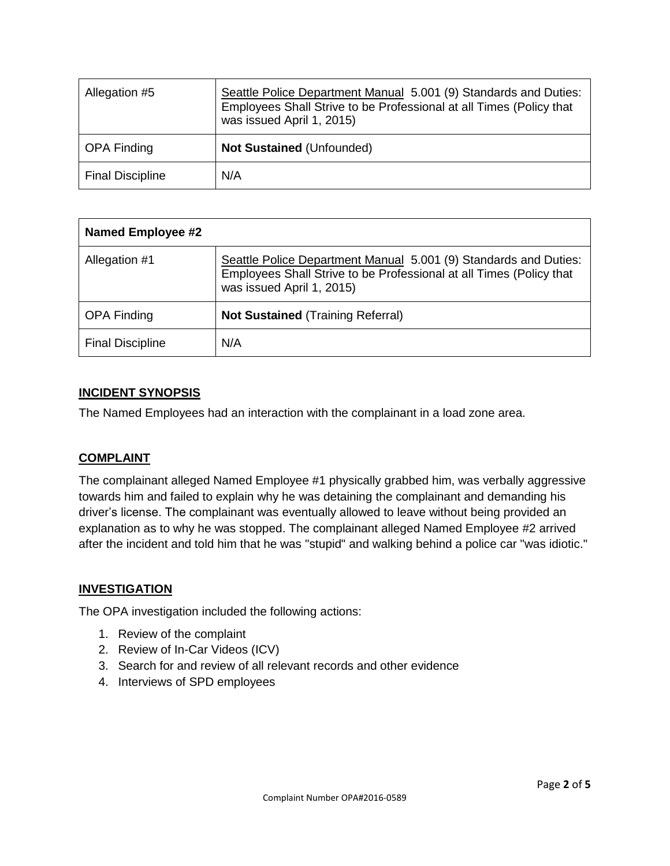| Allegation #5           | Seattle Police Department Manual 5.001 (9) Standards and Duties:<br>Employees Shall Strive to be Professional at all Times (Policy that<br>was issued April 1, 2015) |
|-------------------------|----------------------------------------------------------------------------------------------------------------------------------------------------------------------|
| <b>OPA Finding</b>      | <b>Not Sustained (Unfounded)</b>                                                                                                                                     |
| <b>Final Discipline</b> | N/A                                                                                                                                                                  |

| <b>Named Employee #2</b> |                                                                                                                                                                      |
|--------------------------|----------------------------------------------------------------------------------------------------------------------------------------------------------------------|
| Allegation #1            | Seattle Police Department Manual 5.001 (9) Standards and Duties:<br>Employees Shall Strive to be Professional at all Times (Policy that<br>was issued April 1, 2015) |
| <b>OPA Finding</b>       | <b>Not Sustained (Training Referral)</b>                                                                                                                             |
| <b>Final Discipline</b>  | N/A                                                                                                                                                                  |

## **INCIDENT SYNOPSIS**

The Named Employees had an interaction with the complainant in a load zone area.

### **COMPLAINT**

The complainant alleged Named Employee #1 physically grabbed him, was verbally aggressive towards him and failed to explain why he was detaining the complainant and demanding his driver's license. The complainant was eventually allowed to leave without being provided an explanation as to why he was stopped. The complainant alleged Named Employee #2 arrived after the incident and told him that he was "stupid" and walking behind a police car "was idiotic."

### **INVESTIGATION**

The OPA investigation included the following actions:

- 1. Review of the complaint
- 2. Review of In-Car Videos (ICV)
- 3. Search for and review of all relevant records and other evidence
- 4. Interviews of SPD employees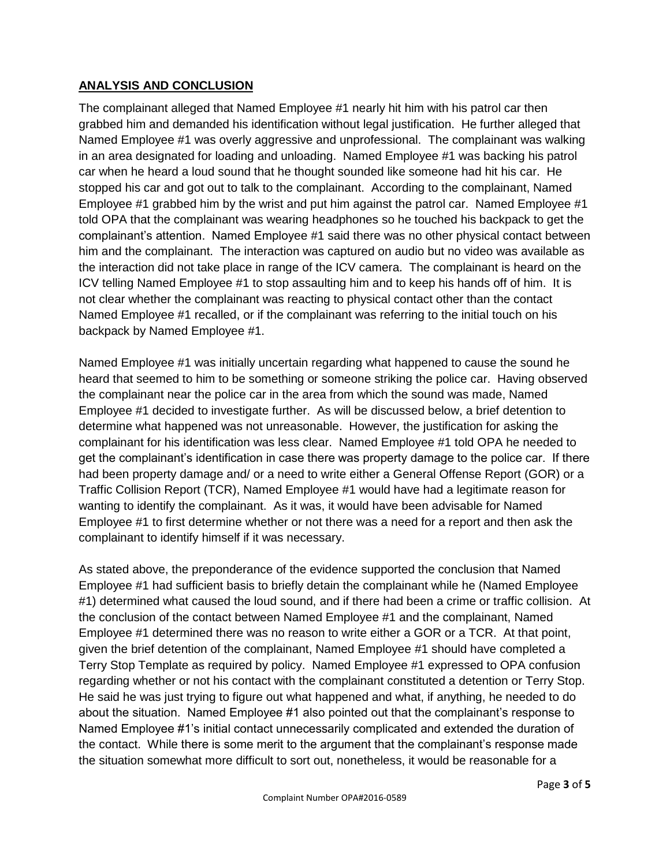## **ANALYSIS AND CONCLUSION**

The complainant alleged that Named Employee #1 nearly hit him with his patrol car then grabbed him and demanded his identification without legal justification. He further alleged that Named Employee #1 was overly aggressive and unprofessional. The complainant was walking in an area designated for loading and unloading. Named Employee #1 was backing his patrol car when he heard a loud sound that he thought sounded like someone had hit his car. He stopped his car and got out to talk to the complainant. According to the complainant, Named Employee #1 grabbed him by the wrist and put him against the patrol car. Named Employee #1 told OPA that the complainant was wearing headphones so he touched his backpack to get the complainant's attention. Named Employee #1 said there was no other physical contact between him and the complainant. The interaction was captured on audio but no video was available as the interaction did not take place in range of the ICV camera. The complainant is heard on the ICV telling Named Employee #1 to stop assaulting him and to keep his hands off of him. It is not clear whether the complainant was reacting to physical contact other than the contact Named Employee #1 recalled, or if the complainant was referring to the initial touch on his backpack by Named Employee #1.

Named Employee #1 was initially uncertain regarding what happened to cause the sound he heard that seemed to him to be something or someone striking the police car. Having observed the complainant near the police car in the area from which the sound was made, Named Employee #1 decided to investigate further. As will be discussed below, a brief detention to determine what happened was not unreasonable. However, the justification for asking the complainant for his identification was less clear. Named Employee #1 told OPA he needed to get the complainant's identification in case there was property damage to the police car. If there had been property damage and/ or a need to write either a General Offense Report (GOR) or a Traffic Collision Report (TCR), Named Employee #1 would have had a legitimate reason for wanting to identify the complainant. As it was, it would have been advisable for Named Employee #1 to first determine whether or not there was a need for a report and then ask the complainant to identify himself if it was necessary.

As stated above, the preponderance of the evidence supported the conclusion that Named Employee #1 had sufficient basis to briefly detain the complainant while he (Named Employee #1) determined what caused the loud sound, and if there had been a crime or traffic collision. At the conclusion of the contact between Named Employee #1 and the complainant, Named Employee #1 determined there was no reason to write either a GOR or a TCR. At that point, given the brief detention of the complainant, Named Employee #1 should have completed a Terry Stop Template as required by policy. Named Employee #1 expressed to OPA confusion regarding whether or not his contact with the complainant constituted a detention or Terry Stop. He said he was just trying to figure out what happened and what, if anything, he needed to do about the situation. Named Employee #1 also pointed out that the complainant's response to Named Employee #1's initial contact unnecessarily complicated and extended the duration of the contact. While there is some merit to the argument that the complainant's response made the situation somewhat more difficult to sort out, nonetheless, it would be reasonable for a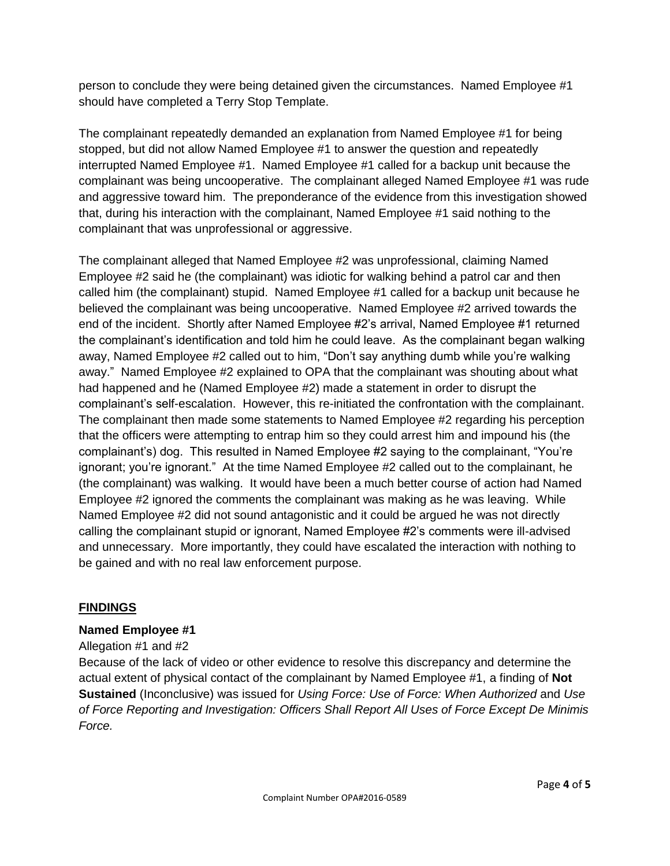person to conclude they were being detained given the circumstances. Named Employee #1 should have completed a Terry Stop Template.

The complainant repeatedly demanded an explanation from Named Employee #1 for being stopped, but did not allow Named Employee #1 to answer the question and repeatedly interrupted Named Employee #1. Named Employee #1 called for a backup unit because the complainant was being uncooperative. The complainant alleged Named Employee #1 was rude and aggressive toward him. The preponderance of the evidence from this investigation showed that, during his interaction with the complainant, Named Employee #1 said nothing to the complainant that was unprofessional or aggressive.

The complainant alleged that Named Employee #2 was unprofessional, claiming Named Employee #2 said he (the complainant) was idiotic for walking behind a patrol car and then called him (the complainant) stupid. Named Employee #1 called for a backup unit because he believed the complainant was being uncooperative. Named Employee #2 arrived towards the end of the incident. Shortly after Named Employee #2's arrival, Named Employee #1 returned the complainant's identification and told him he could leave. As the complainant began walking away, Named Employee #2 called out to him, "Don't say anything dumb while you're walking away." Named Employee #2 explained to OPA that the complainant was shouting about what had happened and he (Named Employee #2) made a statement in order to disrupt the complainant's self-escalation. However, this re-initiated the confrontation with the complainant. The complainant then made some statements to Named Employee #2 regarding his perception that the officers were attempting to entrap him so they could arrest him and impound his (the complainant's) dog. This resulted in Named Employee #2 saying to the complainant, "You're ignorant; you're ignorant." At the time Named Employee #2 called out to the complainant, he (the complainant) was walking. It would have been a much better course of action had Named Employee #2 ignored the comments the complainant was making as he was leaving. While Named Employee #2 did not sound antagonistic and it could be argued he was not directly calling the complainant stupid or ignorant, Named Employee #2's comments were ill-advised and unnecessary. More importantly, they could have escalated the interaction with nothing to be gained and with no real law enforcement purpose.

### **FINDINGS**

### **Named Employee #1**

#### Allegation #1 and #2

Because of the lack of video or other evidence to resolve this discrepancy and determine the actual extent of physical contact of the complainant by Named Employee #1, a finding of **Not Sustained** (Inconclusive) was issued for *Using Force: Use of Force: When Authorized* and *Use of Force Reporting and Investigation: Officers Shall Report All Uses of Force Except De Minimis Force.*